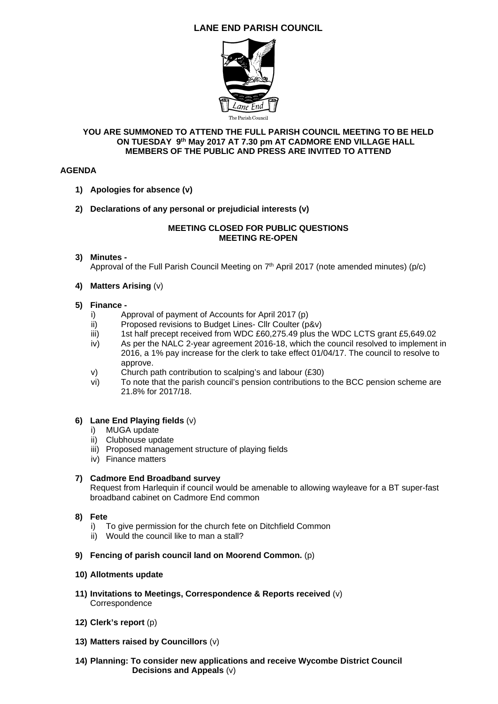## **LANE END PARISH COUNCIL**



#### **YOU ARE SUMMONED TO ATTEND THE FULL PARISH COUNCIL MEETING TO BE HELD ON TUESDAY 9th May 2017 AT 7.30 pm AT CADMORE END VILLAGE HALL MEMBERS OF THE PUBLIC AND PRESS ARE INVITED TO ATTEND**

#### **AGENDA**

- **1) Apologies for absence (v)**
- **2) Declarations of any personal or prejudicial interests (v)**

#### **MEETING CLOSED FOR PUBLIC QUESTIONS MEETING RE-OPEN**

#### **3) Minutes -**

Approval of the Full Parish Council Meeting on  $7<sup>th</sup>$  April 2017 (note amended minutes) (p/c)

**4) Matters Arising** (v)

#### **5) Finance -**

- i) Approval of payment of Accounts for April 2017 (p)<br>ii) Proposed revisions to Budget Lines- Cllr Coulter (p
- ii) Proposed revisions to Budget Lines- Cllr Coulter (p&v)<br>iii) 1st half precept received from WDC £60.275.49 plus the
- 1st half precept received from WDC £60,275.49 plus the WDC LCTS grant £5,649.02
- iv) As per the NALC 2-year agreement 2016-18, which the council resolved to implement in 2016, a 1% pay increase for the clerk to take effect 01/04/17. The council to resolve to approve.
- v) Church path contribution to scalping's and labour (£30)
- vi) To note that the parish council's pension contributions to the BCC pension scheme are 21.8% for 2017/18.

#### **6) Lane End Playing fields** (v)

- i) MUGA update
- ii) Clubhouse update
- iii) Proposed management structure of playing fields
- iv) Finance matters

#### **7) Cadmore End Broadband survey**

Request from Harlequin if council would be amenable to allowing wayleave for a BT super-fast broadband cabinet on Cadmore End common

- **8) Fete**
	- i) To give permission for the church fete on Ditchfield Common
	- ii) Would the council like to man a stall?
- **9) Fencing of parish council land on Moorend Common.** (p)

#### **10) Allotments update**

- **11) Invitations to Meetings, Correspondence & Reports received** (v) **Correspondence**
- **12) Clerk's report** (p)
- **13) Matters raised by Councillors** (v)
- **14) Planning: To consider new applications and receive Wycombe District Council Decisions and Appeals** (v)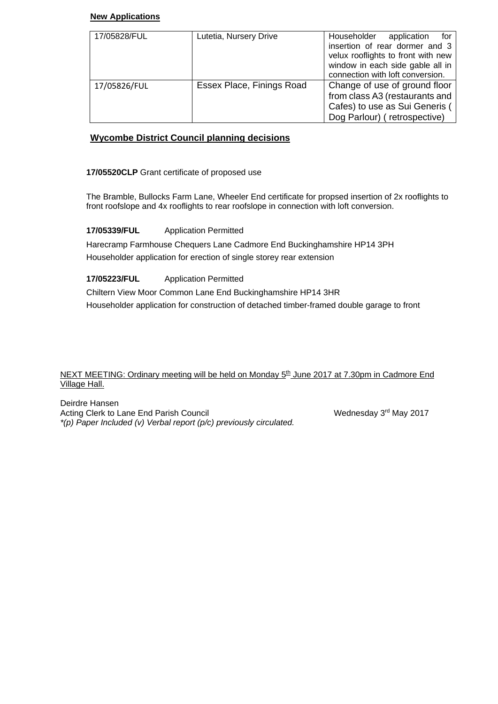#### **New Applications**

| 17/05828/FUL | Lutetia, Nursery Drive    | Householder<br>for f<br>application<br>insertion of rear dormer and 3<br>velux rooflights to front with new<br>window in each side gable all in |  |  |
|--------------|---------------------------|-------------------------------------------------------------------------------------------------------------------------------------------------|--|--|
| 17/05826/FUL | Essex Place, Finings Road | connection with loft conversion.<br>Change of use of ground floor                                                                               |  |  |
|              |                           | from class A3 (restaurants and                                                                                                                  |  |  |
|              |                           | Cafes) to use as Sui Generis (                                                                                                                  |  |  |
|              |                           | Dog Parlour) (retrospective)                                                                                                                    |  |  |

## **Wycombe District Council planning decisions**

**17/05520CLP** Grant certificate of proposed use

The Bramble, Bullocks Farm Lane, Wheeler End certificate for propsed insertion of 2x rooflights to front roofslope and 4x rooflights to rear roofslope in connection with loft conversion.

**17/05339/FUL** Application Permitted

Harecramp Farmhouse Chequers Lane Cadmore End Buckinghamshire HP14 3PH Householder application for erection of single storey rear extension

### **17/05223/FUL** Application Permitted

Chiltern View Moor Common Lane End Buckinghamshire HP14 3HR Householder application for construction of detached timber-framed double garage to front

NEXT MEETING: Ordinary meeting will be held on Monday 5<sup>th</sup> June 2017 at 7.30pm in Cadmore End Village Hall.

Deirdre Hansen Acting Clerk to Lane End Parish Council New York Nednesday 3rd May 2017 *\*(p) Paper Included (v) Verbal report (p/c) previously circulated.*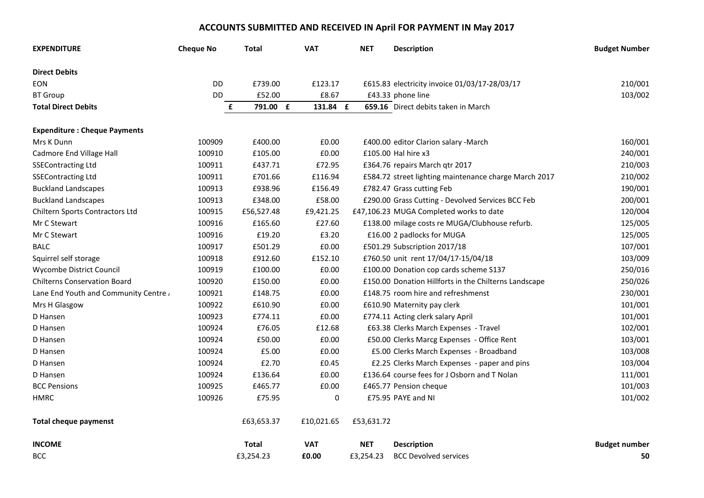# **ACCOUNTS SUBMITTED AND RECEIVED IN April FOR PAYMENT IN May 2017**

| <b>EXPENDITURE</b>                   | <b>Cheque No</b> | Total         | <b>VAT</b> | <b>NET</b> | <b>Description</b>                                    | <b>Budget Number</b> |
|--------------------------------------|------------------|---------------|------------|------------|-------------------------------------------------------|----------------------|
| <b>Direct Debits</b>                 |                  |               |            |            |                                                       |                      |
| <b>EON</b>                           | DD               | £739.00       | £123.17    |            | £615.83 electricity invoice 01/03/17-28/03/17         | 210/001              |
| <b>BT Group</b>                      | DD               | £52.00        | £8.67      |            | £43.33 phone line                                     | 103/002              |
| <b>Total Direct Debits</b>           |                  | 791.00 £<br>£ | 131.84 £   |            | 659.16 Direct debits taken in March                   |                      |
| <b>Expenditure: Cheque Payments</b>  |                  |               |            |            |                                                       |                      |
| Mrs K Dunn                           | 100909           | £400.00       | £0.00      |            | £400.00 editor Clarion salary -March                  | 160/001              |
| Cadmore End Village Hall             | 100910           | £105.00       | £0.00      |            | £105.00 Hal hire x3                                   | 240/001              |
| <b>SSEContracting Ltd</b>            | 100911           | £437.71       | £72.95     |            | £364.76 repairs March qtr 2017                        | 210/003              |
| <b>SSEContracting Ltd</b>            | 100911           | £701.66       | £116.94    |            | £584.72 street lighting maintenance charge March 2017 | 210/002              |
| <b>Buckland Landscapes</b>           | 100913           | £938.96       | £156.49    |            | £782.47 Grass cutting Feb                             | 190/001              |
| <b>Buckland Landscapes</b>           | 100913           | £348.00       | £58.00     |            | £290.00 Grass Cutting - Devolved Services BCC Feb     | 200/001              |
| Chiltern Sports Contractors Ltd      | 100915           | £56,527.48    | £9,421.25  |            | £47,106.23 MUGA Completed works to date               | 120/004              |
| Mr C Stewart                         | 100916           | £165.60       | £27.60     |            | £138.00 milage costs re MUGA/Clubhouse refurb.        | 125/005              |
| Mr C Stewart                         | 100916           | £19.20        | £3.20      |            | £16.00 2 padlocks for MUGA                            | 125/005              |
| <b>BALC</b>                          | 100917           | £501.29       | £0.00      |            | £501.29 Subscription 2017/18                          | 107/001              |
| Squirrel self storage                | 100918           | £912.60       | £152.10    |            | £760.50 unit rent 17/04/17-15/04/18                   | 103/009              |
| Wycombe District Council             | 100919           | £100.00       | £0.00      |            | £100.00 Donation cop cards scheme S137                | 250/016              |
| <b>Chilterns Conservation Board</b>  | 100920           | £150.00       | £0.00      |            | £150.00 Donation Hillforts in the Chilterns Landscape | 250/026              |
| Lane End Youth and Community Centre, | 100921           | £148.75       | £0.00      |            | £148.75 room hire and refreshmenst                    | 230/001              |
| Mrs H Glasgow                        | 100922           | £610.90       | £0.00      |            | £610.90 Maternity pay clerk                           | 101/001              |
| D Hansen                             | 100923           | £774.11       | £0.00      |            | £774.11 Acting clerk salary April                     | 101/001              |
| D Hansen                             | 100924           | £76.05        | £12.68     |            | £63.38 Clerks March Expenses - Travel                 | 102/001              |
| D Hansen                             | 100924           | £50.00        | £0.00      |            | £50.00 Clerks Marcg Expenses - Office Rent            | 103/001              |
| D Hansen                             | 100924           | £5.00         | £0.00      |            | £5.00 Clerks March Expenses - Broadband               | 103/008              |
| D Hansen                             | 100924           | £2.70         | £0.45      |            | £2.25 Clerks March Expenses - paper and pins          | 103/004              |
| D Hansen                             | 100924           | £136.64       | £0.00      |            | £136.64 course fees for J Osborn and T Nolan          | 111/001              |
| <b>BCC Pensions</b>                  | 100925           | £465.77       | £0.00      |            | £465.77 Pension cheque                                | 101/003              |
| <b>HMRC</b>                          | 100926           | £75.95        | 0          |            | £75.95 PAYE and NI                                    | 101/002              |
| <b>Total cheque paymenst</b>         |                  | £63,653.37    | £10,021.65 | £53,631.72 |                                                       |                      |
| <b>INCOME</b>                        |                  | <b>Total</b>  | <b>VAT</b> | <b>NET</b> | <b>Description</b>                                    | <b>Budget number</b> |
| <b>BCC</b>                           |                  | £3,254.23     | £0.00      | £3,254.23  | <b>BCC Devolved services</b>                          | 50                   |